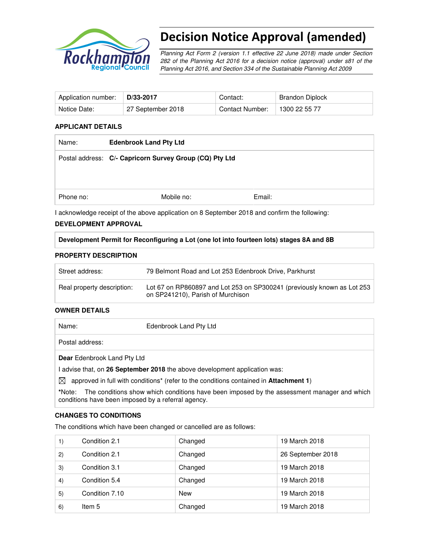

# Decision Notice Approval (amended)

Planning Act Form 2 (version 1.1 effective 22 June 2018) made under Section 282 of the Planning Act 2016 for a decision notice (approval) under s81 of the Planning Act 2016, and Section 334 of the Sustainable Planning Act 2009

| Application number: | D/33-2017         | Contact:        | Brandon Diplock |
|---------------------|-------------------|-----------------|-----------------|
| Notice Date:        | 27 September 2018 | Contact Number: | 1300 22 55 77   |

#### **APPLICANT DETAILS**

| Name:     | <b>Edenbrook Land Pty Ltd</b>                                                                 |        |  |
|-----------|-----------------------------------------------------------------------------------------------|--------|--|
|           | Postal address: C/- Capricorn Survey Group (CQ) Pty Ltd                                       |        |  |
|           |                                                                                               |        |  |
|           |                                                                                               |        |  |
| Phone no: | Mobile no:                                                                                    | Email: |  |
|           | I acknowledge receipt of the above application on 8 September 2018 and confirm the following: |        |  |

#### **DEVELOPMENT APPROVAL**

## **Development Permit for Reconfiguring a Lot (one lot into fourteen lots) stages 8A and 8B**

#### **PROPERTY DESCRIPTION**

| Street address:            | 79 Belmont Road and Lot 253 Edenbrook Drive, Parkhurst                                                       |
|----------------------------|--------------------------------------------------------------------------------------------------------------|
| Real property description: | Lot 67 on RP860897 and Lot 253 on SP300241 (previously known as Lot 253<br>on SP241210), Parish of Murchison |

#### **OWNER DETAILS**

| Name:                       | Edenbrook Land Pty Ltd                                                                |  |
|-----------------------------|---------------------------------------------------------------------------------------|--|
| Postal address:             |                                                                                       |  |
| Dear Edenbrook Land Pty Ltd |                                                                                       |  |
|                             | I advise that, on 26 September 2018 the above development application was:            |  |
| $\boxtimes$                 | approved in full with conditions* (refer to the conditions contained in Attachment 1) |  |

**\***Note:The conditions show which conditions have been imposed by the assessment manager and which conditions have been imposed by a referral agency.

#### **CHANGES TO CONDITIONS**

The conditions which have been changed or cancelled are as follows:

| 1) | Condition 2.1  | Changed    | 19 March 2018     |
|----|----------------|------------|-------------------|
| 2) | Condition 2.1  | Changed    | 26 September 2018 |
| 3) | Condition 3.1  | Changed    | 19 March 2018     |
| 4) | Condition 5.4  | Changed    | 19 March 2018     |
| 5) | Condition 7.10 | <b>New</b> | 19 March 2018     |
| 6) | Item 5         | Changed    | 19 March 2018     |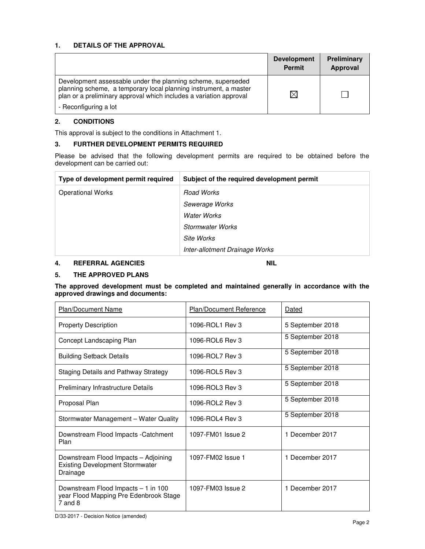## **1. DETAILS OF THE APPROVAL**

|                                                                                                                                                                                                        | <b>Development</b><br><b>Permit</b> | Preliminary<br>Approval |
|--------------------------------------------------------------------------------------------------------------------------------------------------------------------------------------------------------|-------------------------------------|-------------------------|
| Development assessable under the planning scheme, superseded<br>planning scheme, a temporary local planning instrument, a master<br>plan or a preliminary approval which includes a variation approval |                                     |                         |
| - Reconfiguring a lot                                                                                                                                                                                  |                                     |                         |

## **2. CONDITIONS**

This approval is subject to the conditions in Attachment 1.

#### **3. FURTHER DEVELOPMENT PERMITS REQUIRED**

Please be advised that the following development permits are required to be obtained before the development can be carried out:

| Type of development permit required | Subject of the required development permit |
|-------------------------------------|--------------------------------------------|
| <b>Operational Works</b>            | Road Works                                 |
|                                     | Sewerage Works                             |
|                                     | Water Works                                |
|                                     | Stormwater Works                           |
|                                     | Site Works                                 |
|                                     | Inter-allotment Drainage Works             |

# **4. REFERRAL AGENCIES NIL**

#### **5. THE APPROVED PLANS**

#### **The approved development must be completed and maintained generally in accordance with the approved drawings and documents:**

| <b>Plan/Document Name</b>                                                                    | <b>Plan/Document Reference</b> | Dated            |
|----------------------------------------------------------------------------------------------|--------------------------------|------------------|
| <b>Property Description</b>                                                                  | 1096-ROL1 Rev 3                | 5 September 2018 |
| Concept Landscaping Plan                                                                     | 1096-ROL6 Rev 3                | 5 September 2018 |
| <b>Building Setback Details</b>                                                              | 1096-ROL7 Rev 3                | 5 September 2018 |
| <b>Staging Details and Pathway Strategy</b>                                                  | 1096-ROL5 Rev 3                | 5 September 2018 |
| <b>Preliminary Infrastructure Details</b>                                                    | 1096-ROL3 Rev 3                | 5 September 2018 |
| Proposal Plan                                                                                | 1096-ROL2 Rev 3                | 5 September 2018 |
| Stormwater Management - Water Quality                                                        | 1096-ROL4 Rev 3                | 5 September 2018 |
| Downstream Flood Impacts - Catchment<br>Plan                                                 | 1097-FM01 Issue 2              | 1 December 2017  |
| Downstream Flood Impacts - Adjoining<br><b>Existing Development Stormwater</b><br>Drainage   | 1097-FM02 Issue 1              | 1 December 2017  |
| Downstream Flood Impacts - 1 in 100<br>year Flood Mapping Pre Edenbrook Stage<br>$7$ and $8$ | 1097-FM03 Issue 2              | 1 December 2017  |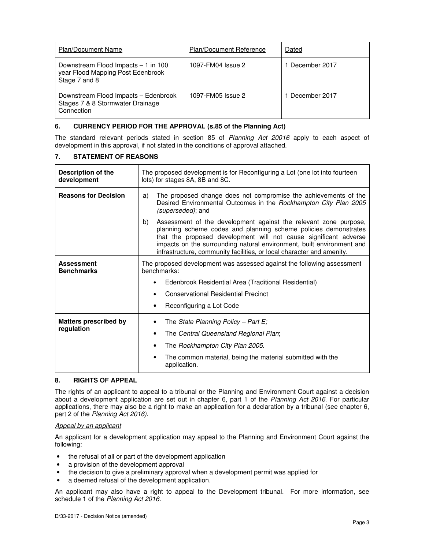| <b>Plan/Document Name</b>                                                                 | <b>Plan/Document Reference</b> | Dated           |
|-------------------------------------------------------------------------------------------|--------------------------------|-----------------|
| Downstream Flood Impacts - 1 in 100<br>year Flood Mapping Post Edenbrook<br>Stage 7 and 8 | 1097-FM04 Issue 2              | 1 December 2017 |
| Downstream Flood Impacts - Edenbrook<br>Stages 7 & 8 Stormwater Drainage<br>Connection    | 1097-FM05 Issue 2              | 1 December 2017 |

#### **6. CURRENCY PERIOD FOR THE APPROVAL (s.85 of the Planning Act)**

The standard relevant periods stated in section 85 of Planning Act 20016 apply to each aspect of development in this approval, if not stated in the conditions of approval attached.

#### **7. STATEMENT OF REASONS**

| Description of the<br>development      | The proposed development is for Reconfiguring a Lot (one lot into fourteen<br>lots) for stages 8A, 8B and 8C.                                                                                                                                                                                                                                                   |  |  |
|----------------------------------------|-----------------------------------------------------------------------------------------------------------------------------------------------------------------------------------------------------------------------------------------------------------------------------------------------------------------------------------------------------------------|--|--|
| <b>Reasons for Decision</b>            | The proposed change does not compromise the achievements of the<br>a)<br>Desired Environmental Outcomes in the Rockhampton City Plan 2005<br><i>(superseded)</i> ; and                                                                                                                                                                                          |  |  |
|                                        | Assessment of the development against the relevant zone purpose,<br>b)<br>planning scheme codes and planning scheme policies demonstrates<br>that the proposed development will not cause significant adverse<br>impacts on the surrounding natural environment, built environment and<br>infrastructure, community facilities, or local character and amenity. |  |  |
| <b>Assessment</b><br><b>Benchmarks</b> | The proposed development was assessed against the following assessment<br>benchmarks:                                                                                                                                                                                                                                                                           |  |  |
|                                        | Edenbrook Residential Area (Traditional Residential)                                                                                                                                                                                                                                                                                                            |  |  |
|                                        | <b>Conservational Residential Precinct</b>                                                                                                                                                                                                                                                                                                                      |  |  |
|                                        | Reconfiguring a Lot Code                                                                                                                                                                                                                                                                                                                                        |  |  |
| <b>Matters prescribed by</b>           | The State Planning Policy - Part $E_i$                                                                                                                                                                                                                                                                                                                          |  |  |
| regulation                             | The Central Queensland Regional Plan;<br>٠                                                                                                                                                                                                                                                                                                                      |  |  |
|                                        | The Rockhampton City Plan 2005.                                                                                                                                                                                                                                                                                                                                 |  |  |
|                                        | The common material, being the material submitted with the<br>application.                                                                                                                                                                                                                                                                                      |  |  |

#### **8. RIGHTS OF APPEAL**

The rights of an applicant to appeal to a tribunal or the Planning and Environment Court against a decision about a development application are set out in chapter 6, part 1 of the Planning Act 2016. For particular applications, there may also be a right to make an application for a declaration by a tribunal (see chapter 6, part 2 of the Planning Act 2016).

#### Appeal by an applicant

An applicant for a development application may appeal to the Planning and Environment Court against the following:

- the refusal of all or part of the development application
- a provision of the development approval
- the decision to give a preliminary approval when a development permit was applied for
- a deemed refusal of the development application.

An applicant may also have a right to appeal to the Development tribunal. For more information, see schedule 1 of the Planning Act 2016.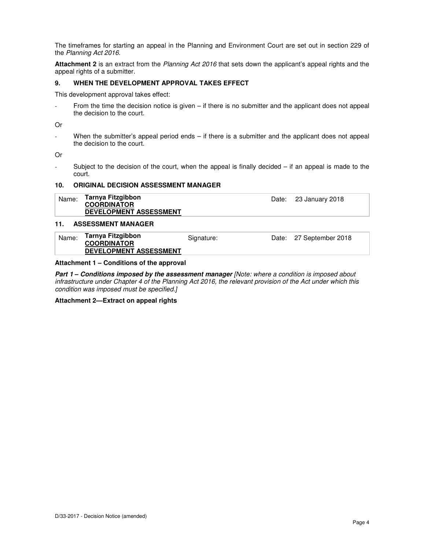The timeframes for starting an appeal in the Planning and Environment Court are set out in section 229 of the Planning Act 2016.

**Attachment 2** is an extract from the Planning Act 2016 that sets down the applicant's appeal rights and the appeal rights of a submitter.

#### **9. WHEN THE DEVELOPMENT APPROVAL TAKES EFFECT**

This development approval takes effect:

From the time the decision notice is given  $-$  if there is no submitter and the applicant does not appeal the decision to the court.

Or

- When the submitter's appeal period ends – if there is a submitter and the applicant does not appeal the decision to the court.

Or

- Subject to the decision of the court, when the appeal is finally decided – if an appeal is made to the court.

#### **10. ORIGINAL DECISION ASSESSMENT MANAGER**

| Name: | Tarnya Fitzgibbon             | Date: 23 January 2018 |
|-------|-------------------------------|-----------------------|
|       | <b>COORDINATOR</b>            |                       |
|       | <b>DEVELOPMENT ASSESSMENT</b> |                       |

#### **11. ASSESSMENT MANAGER**

| Name: | Tarnya Fitzgibbon             | Signature: | Date: 27 September 2018 |
|-------|-------------------------------|------------|-------------------------|
|       | <b>COORDINATOR</b>            |            |                         |
|       | <b>DEVELOPMENT ASSESSMENT</b> |            |                         |

#### **Attachment 1 – Conditions of the approval**

**Part 1 – Conditions imposed by the assessment manager** [Note: where a condition is imposed about infrastructure under Chapter 4 of the Planning Act 2016, the relevant provision of the Act under which this condition was imposed must be specified.]

#### **Attachment 2—Extract on appeal rights**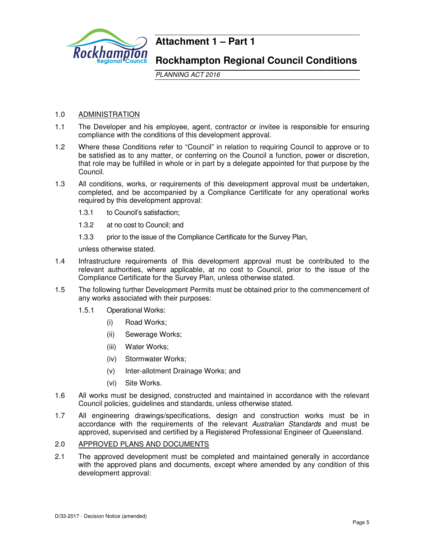

# **Attachment 1 – Part 1**

# **Rockhampton Regional Council Conditions**

PLANNING ACT 2016

# 1.0 ADMINISTRATION

- 1.1 The Developer and his employee, agent, contractor or invitee is responsible for ensuring compliance with the conditions of this development approval.
- 1.2 Where these Conditions refer to "Council" in relation to requiring Council to approve or to be satisfied as to any matter, or conferring on the Council a function, power or discretion, that role may be fulfilled in whole or in part by a delegate appointed for that purpose by the Council.
- 1.3 All conditions, works, or requirements of this development approval must be undertaken, completed, and be accompanied by a Compliance Certificate for any operational works required by this development approval:
	- 1.3.1 to Council's satisfaction;
	- 1.3.2 at no cost to Council; and
	- 1.3.3 prior to the issue of the Compliance Certificate for the Survey Plan,

unless otherwise stated.

- 1.4 Infrastructure requirements of this development approval must be contributed to the relevant authorities, where applicable, at no cost to Council, prior to the issue of the Compliance Certificate for the Survey Plan, unless otherwise stated.
- 1.5 The following further Development Permits must be obtained prior to the commencement of any works associated with their purposes:
	- 1.5.1 Operational Works:
		- (i) Road Works;
		- (ii) Sewerage Works;
		- (iii) Water Works;
		- (iv) Stormwater Works;
		- (v) Inter-allotment Drainage Works; and
		- (vi) Site Works.
- 1.6 All works must be designed, constructed and maintained in accordance with the relevant Council policies, guidelines and standards, unless otherwise stated.
- 1.7 All engineering drawings/specifications, design and construction works must be in accordance with the requirements of the relevant Australian Standards and must be approved, supervised and certified by a Registered Professional Engineer of Queensland.

#### 2.0 APPROVED PLANS AND DOCUMENTS

2.1 The approved development must be completed and maintained generally in accordance with the approved plans and documents, except where amended by any condition of this development approval: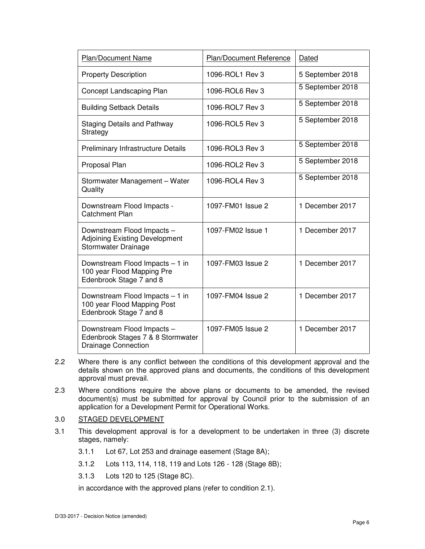| <b>Plan/Document Name</b>                                                                     | Plan/Document Reference | Dated            |
|-----------------------------------------------------------------------------------------------|-------------------------|------------------|
| <b>Property Description</b>                                                                   | 1096-ROL1 Rev 3         | 5 September 2018 |
| Concept Landscaping Plan                                                                      | 1096-ROL6 Rev 3         | 5 September 2018 |
| <b>Building Setback Details</b>                                                               | 1096-ROL7 Rev 3         | 5 September 2018 |
| <b>Staging Details and Pathway</b><br>Strategy                                                | 1096-ROL5 Rev 3         | 5 September 2018 |
| Preliminary Infrastructure Details                                                            | 1096-ROL3 Rev 3         | 5 September 2018 |
| Proposal Plan                                                                                 | 1096-ROL2 Rev 3         | 5 September 2018 |
| Stormwater Management - Water<br>Quality                                                      | 1096-ROL4 Rev 3         | 5 September 2018 |
| Downstream Flood Impacts -<br><b>Catchment Plan</b>                                           | 1097-FM01 Issue 2       | 1 December 2017  |
| Downstream Flood Impacts -<br><b>Adjoining Existing Development</b><br>Stormwater Drainage    | 1097-FM02 Issue 1       | 1 December 2017  |
| Downstream Flood Impacts - 1 in<br>100 year Flood Mapping Pre<br>Edenbrook Stage 7 and 8      | 1097-FM03 Issue 2       | 1 December 2017  |
| Downstream Flood Impacts - 1 in<br>100 year Flood Mapping Post<br>Edenbrook Stage 7 and 8     | 1097-FM04 Issue 2       | 1 December 2017  |
| Downstream Flood Impacts -<br>Edenbrook Stages 7 & 8 Stormwater<br><b>Drainage Connection</b> | 1097-FM05 Issue 2       | 1 December 2017  |

- 2.2 Where there is any conflict between the conditions of this development approval and the details shown on the approved plans and documents, the conditions of this development approval must prevail.
- 2.3 Where conditions require the above plans or documents to be amended, the revised document(s) must be submitted for approval by Council prior to the submission of an application for a Development Permit for Operational Works.

#### 3.0 STAGED DEVELOPMENT

- 3.1 This development approval is for a development to be undertaken in three (3) discrete stages, namely:
	- 3.1.1 Lot 67, Lot 253 and drainage easement (Stage 8A);
	- 3.1.2 Lots 113, 114, 118, 119 and Lots 126 128 (Stage 8B);
	- 3.1.3 Lots 120 to 125 (Stage 8C).

in accordance with the approved plans (refer to condition 2.1).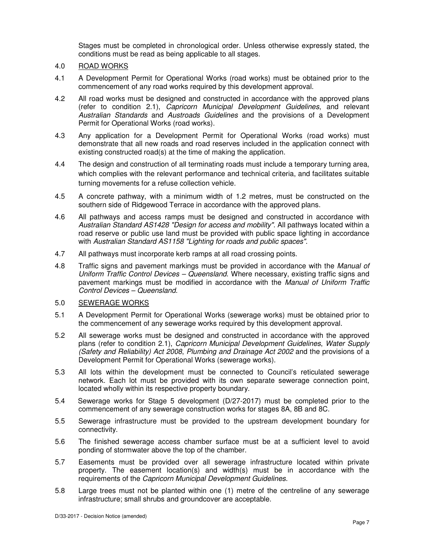Stages must be completed in chronological order. Unless otherwise expressly stated, the conditions must be read as being applicable to all stages.

## 4.0 ROAD WORKS

- 4.1 A Development Permit for Operational Works (road works) must be obtained prior to the commencement of any road works required by this development approval.
- 4.2 All road works must be designed and constructed in accordance with the approved plans (refer to condition 2.1), Capricorn Municipal Development Guidelines, and relevant Australian Standards and Austroads Guidelines and the provisions of a Development Permit for Operational Works (road works).
- 4.3 Any application for a Development Permit for Operational Works (road works) must demonstrate that all new roads and road reserves included in the application connect with existing constructed road(s) at the time of making the application.
- 4.4 The design and construction of all terminating roads must include a temporary turning area, which complies with the relevant performance and technical criteria, and facilitates suitable turning movements for a refuse collection vehicle.
- 4.5 A concrete pathway, with a minimum width of 1.2 metres, must be constructed on the southern side of Ridgewood Terrace in accordance with the approved plans.
- 4.6 All pathways and access ramps must be designed and constructed in accordance with Australian Standard AS1428 "Design for access and mobility". All pathways located within a road reserve or public use land must be provided with public space lighting in accordance with Australian Standard AS1158 "Lighting for roads and public spaces".
- 4.7 All pathways must incorporate kerb ramps at all road crossing points.
- 4.8 Traffic signs and pavement markings must be provided in accordance with the Manual of Uniform Traffic Control Devices – Queensland. Where necessary, existing traffic signs and pavement markings must be modified in accordance with the Manual of Uniform Traffic Control Devices – Queensland.

# 5.0 SEWERAGE WORKS

- 5.1 A Development Permit for Operational Works (sewerage works) must be obtained prior to the commencement of any sewerage works required by this development approval.
- 5.2 All sewerage works must be designed and constructed in accordance with the approved plans (refer to condition 2.1), Capricorn Municipal Development Guidelines, Water Supply (Safety and Reliability) Act 2008, Plumbing and Drainage Act 2002 and the provisions of a Development Permit for Operational Works (sewerage works).
- 5.3 All lots within the development must be connected to Council's reticulated sewerage network. Each lot must be provided with its own separate sewerage connection point, located wholly within its respective property boundary.
- 5.4 Sewerage works for Stage 5 development (D/27-2017) must be completed prior to the commencement of any sewerage construction works for stages 8A, 8B and 8C.
- 5.5 Sewerage infrastructure must be provided to the upstream development boundary for connectivity.
- 5.6 The finished sewerage access chamber surface must be at a sufficient level to avoid ponding of stormwater above the top of the chamber.
- 5.7 Easements must be provided over all sewerage infrastructure located within private property. The easement location(s) and width(s) must be in accordance with the requirements of the Capricorn Municipal Development Guidelines.
- 5.8 Large trees must not be planted within one (1) metre of the centreline of any sewerage infrastructure; small shrubs and groundcover are acceptable.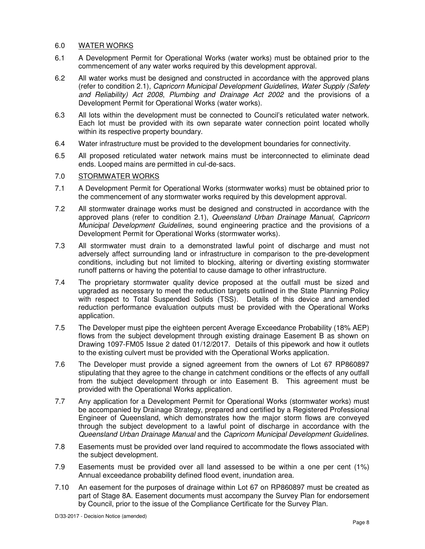# 6.0 WATER WORKS

- 6.1 A Development Permit for Operational Works (water works) must be obtained prior to the commencement of any water works required by this development approval.
- 6.2 All water works must be designed and constructed in accordance with the approved plans (refer to condition 2.1), Capricorn Municipal Development Guidelines, Water Supply (Safety and Reliability) Act 2008, Plumbing and Drainage Act 2002 and the provisions of a Development Permit for Operational Works (water works).
- 6.3 All lots within the development must be connected to Council's reticulated water network. Each lot must be provided with its own separate water connection point located wholly within its respective property boundary.
- 6.4 Water infrastructure must be provided to the development boundaries for connectivity.
- 6.5 All proposed reticulated water network mains must be interconnected to eliminate dead ends. Looped mains are permitted in cul-de-sacs.

## 7.0 STORMWATER WORKS

- 7.1 A Development Permit for Operational Works (stormwater works) must be obtained prior to the commencement of any stormwater works required by this development approval.
- 7.2 All stormwater drainage works must be designed and constructed in accordance with the approved plans (refer to condition 2.1), Queensland Urban Drainage Manual, Capricorn Municipal Development Guidelines, sound engineering practice and the provisions of a Development Permit for Operational Works (stormwater works).
- 7.3 All stormwater must drain to a demonstrated lawful point of discharge and must not adversely affect surrounding land or infrastructure in comparison to the pre-development conditions, including but not limited to blocking, altering or diverting existing stormwater runoff patterns or having the potential to cause damage to other infrastructure.
- 7.4 The proprietary stormwater quality device proposed at the outfall must be sized and upgraded as necessary to meet the reduction targets outlined in the State Planning Policy with respect to Total Suspended Solids (TSS). Details of this device and amended reduction performance evaluation outputs must be provided with the Operational Works application.
- 7.5 The Developer must pipe the eighteen percent Average Exceedance Probability (18% AEP) flows from the subject development through existing drainage Easement B as shown on Drawing 1097-FM05 Issue 2 dated 01/12/2017. Details of this pipework and how it outlets to the existing culvert must be provided with the Operational Works application.
- 7.6 The Developer must provide a signed agreement from the owners of Lot 67 RP860897 stipulating that they agree to the change in catchment conditions or the effects of any outfall from the subject development through or into Easement B. This agreement must be provided with the Operational Works application.
- 7.7 Any application for a Development Permit for Operational Works (stormwater works) must be accompanied by Drainage Strategy, prepared and certified by a Registered Professional Engineer of Queensland, which demonstrates how the major storm flows are conveyed through the subject development to a lawful point of discharge in accordance with the Queensland Urban Drainage Manual and the Capricorn Municipal Development Guidelines.
- 7.8 Easements must be provided over land required to accommodate the flows associated with the subject development.
- 7.9 Easements must be provided over all land assessed to be within a one per cent (1%) Annual exceedance probability defined flood event, inundation area.
- 7.10 An easement for the purposes of drainage within Lot 67 on RP860897 must be created as part of Stage 8A. Easement documents must accompany the Survey Plan for endorsement by Council, prior to the issue of the Compliance Certificate for the Survey Plan.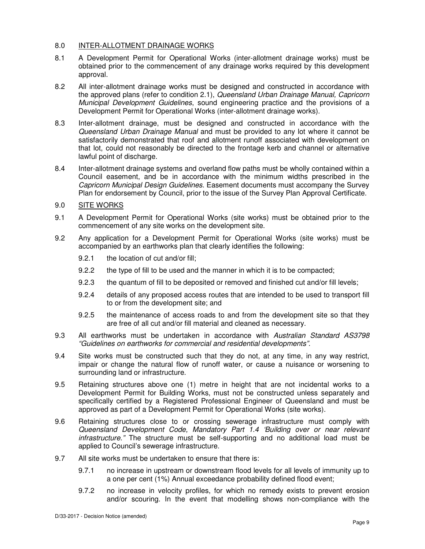# 8.0 INTER-ALLOTMENT DRAINAGE WORKS

- 8.1 A Development Permit for Operational Works (inter-allotment drainage works) must be obtained prior to the commencement of any drainage works required by this development approval.
- 8.2 All inter-allotment drainage works must be designed and constructed in accordance with the approved plans (refer to condition 2.1), Queensland Urban Drainage Manual, Capricorn Municipal Development Guidelines, sound engineering practice and the provisions of a Development Permit for Operational Works (inter-allotment drainage works).
- 8.3 Inter-allotment drainage, must be designed and constructed in accordance with the Queensland Urban Drainage Manual and must be provided to any lot where it cannot be satisfactorily demonstrated that roof and allotment runoff associated with development on that lot, could not reasonably be directed to the frontage kerb and channel or alternative lawful point of discharge.
- 8.4 Inter-allotment drainage systems and overland flow paths must be wholly contained within a Council easement, and be in accordance with the minimum widths prescribed in the Capricorn Municipal Design Guidelines. Easement documents must accompany the Survey Plan for endorsement by Council, prior to the issue of the Survey Plan Approval Certificate.
- 9.0 SITE WORKS
- 9.1 A Development Permit for Operational Works (site works) must be obtained prior to the commencement of any site works on the development site.
- 9.2 Any application for a Development Permit for Operational Works (site works) must be accompanied by an earthworks plan that clearly identifies the following:
	- 9.2.1 the location of cut and/or fill;
	- 9.2.2 the type of fill to be used and the manner in which it is to be compacted;
	- 9.2.3 the quantum of fill to be deposited or removed and finished cut and/or fill levels;
	- 9.2.4 details of any proposed access routes that are intended to be used to transport fill to or from the development site; and
	- 9.2.5 the maintenance of access roads to and from the development site so that they are free of all cut and/or fill material and cleaned as necessary.
- 9.3 All earthworks must be undertaken in accordance with Australian Standard AS3798 "Guidelines on earthworks for commercial and residential developments".
- 9.4 Site works must be constructed such that they do not, at any time, in any way restrict, impair or change the natural flow of runoff water, or cause a nuisance or worsening to surrounding land or infrastructure.
- 9.5 Retaining structures above one (1) metre in height that are not incidental works to a Development Permit for Building Works, must not be constructed unless separately and specifically certified by a Registered Professional Engineer of Queensland and must be approved as part of a Development Permit for Operational Works (site works).
- 9.6 Retaining structures close to or crossing sewerage infrastructure must comply with Queensland Development Code, Mandatory Part 1.4 'Building over or near relevant infrastructure." The structure must be self-supporting and no additional load must be applied to Council's sewerage infrastructure.
- 9.7 All site works must be undertaken to ensure that there is:
	- 9.7.1 no increase in upstream or downstream flood levels for all levels of immunity up to a one per cent (1%) Annual exceedance probability defined flood event;
	- 9.7.2 no increase in velocity profiles, for which no remedy exists to prevent erosion and/or scouring. In the event that modelling shows non-compliance with the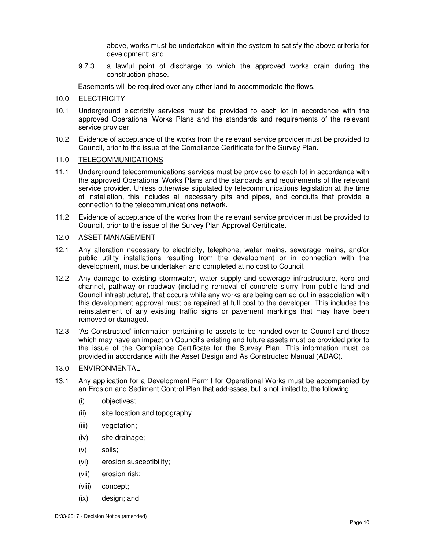above, works must be undertaken within the system to satisfy the above criteria for development; and

9.7.3 a lawful point of discharge to which the approved works drain during the construction phase.

Easements will be required over any other land to accommodate the flows.

#### 10.0 ELECTRICITY

- 10.1 Underground electricity services must be provided to each lot in accordance with the approved Operational Works Plans and the standards and requirements of the relevant service provider.
- 10.2 Evidence of acceptance of the works from the relevant service provider must be provided to Council, prior to the issue of the Compliance Certificate for the Survey Plan.

## 11.0 TELECOMMUNICATIONS

- 11.1 Underground telecommunications services must be provided to each lot in accordance with the approved Operational Works Plans and the standards and requirements of the relevant service provider. Unless otherwise stipulated by telecommunications legislation at the time of installation, this includes all necessary pits and pipes, and conduits that provide a connection to the telecommunications network.
- 11.2 Evidence of acceptance of the works from the relevant service provider must be provided to Council, prior to the issue of the Survey Plan Approval Certificate.

# 12.0 ASSET MANAGEMENT

- 12.1 Any alteration necessary to electricity, telephone, water mains, sewerage mains, and/or public utility installations resulting from the development or in connection with the development, must be undertaken and completed at no cost to Council.
- 12.2 Any damage to existing stormwater, water supply and sewerage infrastructure, kerb and channel, pathway or roadway (including removal of concrete slurry from public land and Council infrastructure), that occurs while any works are being carried out in association with this development approval must be repaired at full cost to the developer. This includes the reinstatement of any existing traffic signs or pavement markings that may have been removed or damaged.
- 12.3 'As Constructed' information pertaining to assets to be handed over to Council and those which may have an impact on Council's existing and future assets must be provided prior to the issue of the Compliance Certificate for the Survey Plan. This information must be provided in accordance with the Asset Design and As Constructed Manual (ADAC).

#### 13.0 ENVIRONMENTAL

- 13.1 Any application for a Development Permit for Operational Works must be accompanied by an Erosion and Sediment Control Plan that addresses, but is not limited to, the following:
	- (i) objectives;
	- (ii) site location and topography
	- (iii) vegetation;
	- (iv) site drainage;
	- (v) soils;
	- (vi) erosion susceptibility;
	- (vii) erosion risk;
	- (viii) concept;
	- (ix) design; and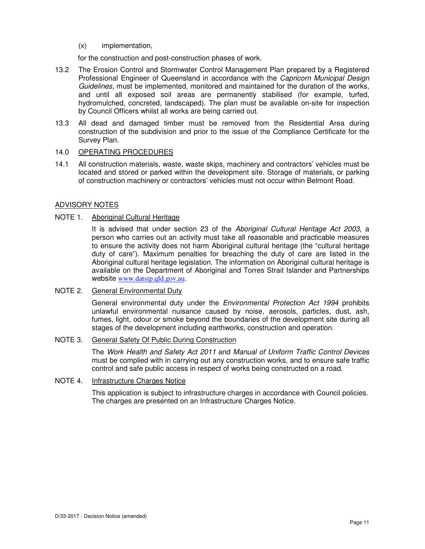(x) implementation,

for the construction and post-construction phases of work.

- 13.2 The Erosion Control and Stormwater Control Management Plan prepared by a Registered Professional Engineer of Queensland in accordance with the Capricorn Municipal Design Guidelines, must be implemented, monitored and maintained for the duration of the works, and until all exposed soil areas are permanently stabilised (for example, turfed, hydromulched, concreted, landscaped). The plan must be available on-site for inspection by Council Officers whilst all works are being carried out.
- 13.3 All dead and damaged timber must be removed from the Residential Area during construction of the subdivision and prior to the issue of the Compliance Certificate for the Survey Plan.

## 14.0 OPERATING PROCEDURES

14.1 All construction materials, waste, waste skips, machinery and contractors' vehicles must be located and stored or parked within the development site. Storage of materials, or parking of construction machinery or contractors' vehicles must not occur within Belmont Road.

## ADVISORY NOTES

# NOTE 1. Aboriginal Cultural Heritage

It is advised that under section 23 of the Aboriginal Cultural Heritage Act 2003, a person who carries out an activity must take all reasonable and practicable measures to ensure the activity does not harm Aboriginal cultural heritage (the "cultural heritage duty of care"). Maximum penalties for breaching the duty of care are listed in the Aboriginal cultural heritage legislation. The information on Aboriginal cultural heritage is available on the Department of Aboriginal and Torres Strait Islander and Partnerships website www.datsip.qld.gov.au.

#### NOTE 2. General Environmental Duty

General environmental duty under the *Environmental Protection Act 1994* prohibits unlawful environmental nuisance caused by noise, aerosols, particles, dust, ash, fumes, light, odour or smoke beyond the boundaries of the development site during all stages of the development including earthworks, construction and operation.

## NOTE 3. General Safety Of Public During Construction

The Work Health and Safety Act 2011 and Manual of Uniform Traffic Control Devices must be complied with in carrying out any construction works, and to ensure safe traffic control and safe public access in respect of works being constructed on a road.

#### NOTE 4. Infrastructure Charges Notice

This application is subject to infrastructure charges in accordance with Council policies. The charges are presented on an Infrastructure Charges Notice.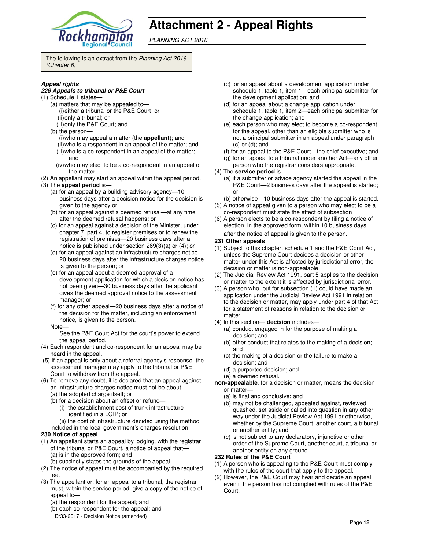

# **Attachment 2 - Appeal Rights**

PLANNING ACT 2016

The following is an extract from the Planning Act 2016 (Chapter 6)

#### **Appeal rights**

#### **229 Appeals to tribunal or P&E Court**

- (1) Schedule 1 states—
	- (a) matters that may be appealed to— (i) either a tribunal or the P&E Court; or (ii) only a tribunal; or
	- (iii) only the P&E Court; and
	- (b) the person— (i) who may appeal a matter (the **appellant**); and (ii) who is a respondent in an appeal of the matter; and
	- (iii) who is a co-respondent in an appeal of the matter; and
	- (iv) who may elect to be a co-respondent in an appeal of the matter.
- (2) An appellant may start an appeal within the appeal period.
- (3) The **appeal period** is—
	- (a) for an appeal by a building advisory agency—10 business days after a decision notice for the decision is given to the agency or
	- (b) for an appeal against a deemed refusal—at any time after the deemed refusal happens; or
	- (c) for an appeal against a decision of the Minister, under chapter 7, part 4, to register premises or to renew the registration of premises—20 business days after a notice is published under section 269(3)(a) or (4); or
	- (d) for an appeal against an infrastructure charges notice— 20 business days after the infrastructure charges notice is given to the person; or
	- (e) for an appeal about a deemed approval of a development application for which a decision notice has not been given—30 business days after the applicant gives the deemed approval notice to the assessment manager; or
	- (f) for any other appeal—20 business days after a notice of the decision for the matter, including an enforcement notice, is given to the person.
	- Note—

See the P&E Court Act for the court's power to extend the appeal period.

- (4) Each respondent and co-respondent for an appeal may be heard in the appeal.
- (5) If an appeal is only about a referral agency's response, the assessment manager may apply to the tribunal or P&E Court to withdraw from the appeal.
- (6) To remove any doubt, it is declared that an appeal against an infrastructure charges notice must not be about—
	- (a) the adopted charge itself; or
	- (b) for a decision about an offset or refund— (i) the establishment cost of trunk infrastructure identified in a LGIP; or
		- (ii) the cost of infrastructure decided using the method
	- included in the local government's charges resolution.

#### **230 Notice of appeal**

- (1) An appellant starts an appeal by lodging, with the registrar of the tribunal or P&E Court, a notice of appeal that— (a) is in the approved form; and
	- (b) succinctly states the grounds of the appeal.
- (2) The notice of appeal must be accompanied by the required fee.
- (3) The appellant or, for an appeal to a tribunal, the registrar must, within the service period, give a copy of the notice of appeal to—
	- (a) the respondent for the appeal; and
	- (b) each co-respondent for the appeal; and
	- D/33-2017 Decision Notice (amended)
- (c) for an appeal about a development application under schedule 1, table 1, item 1—each principal submitter for the development application; and
- (d) for an appeal about a change application under schedule 1, table 1, item 2—each principal submitter for the change application; and
- (e) each person who may elect to become a co-respondent for the appeal, other than an eligible submitter who is not a principal submitter in an appeal under paragraph (c) or (d); and
- (f) for an appeal to the P&E Court—the chief executive; and
- (g) for an appeal to a tribunal under another Act—any other
- person who the registrar considers appropriate. (4) The **service period** is—
	- (a) if a submitter or advice agency started the appeal in the P&E Court—2 business days after the appeal is started; or
	- (b) otherwise—10 business days after the appeal is started.
- (5) A notice of appeal given to a person who may elect to be a co-respondent must state the effect of subsection
- (6) A person elects to be a co-respondent by filing a notice of election, in the approved form, within 10 business days after the notice of appeal is given to the person*.*
- **231 Other appeals**
- (1) Subject to this chapter, schedule 1 and the P&E Court Act, unless the Supreme Court decides a decision or other matter under this Act is affected by jurisdictional error, the decision or matter is non-appealable.
- (2) The Judicial Review Act 1991, part 5 applies to the decision or matter to the extent it is affected by jurisdictional error.
- (3) A person who, but for subsection (1) could have made an application under the Judicial Review Act 1991 in relation to the decision or matter, may apply under part 4 of that Act for a statement of reasons in relation to the decision or matter.
- (4) In this section— **decision** includes—
	- (a) conduct engaged in for the purpose of making a decision; and
	- (b) other conduct that relates to the making of a decision; and
	- (c) the making of a decision or the failure to make a decision; and
	- (d) a purported decision; and
	- (e) a deemed refusal.
- **non-appealable**, for a decision or matter, means the decision or matter—
	- (a) is final and conclusive; and
	- (b) may not be challenged, appealed against, reviewed, quashed, set aside or called into question in any other way under the Judicial Review Act 1991 or otherwise, whether by the Supreme Court, another court, a tribunal or another entity; and
	- (c) is not subject to any declaratory, injunctive or other order of the Supreme Court, another court, a tribunal or another entity on any ground.

#### **232 Rules of the P&E Court**

- (1) A person who is appealing to the P&E Court must comply with the rules of the court that apply to the appeal.
- (2) However, the P&E Court may hear and decide an appeal even if the person has not complied with rules of the P&E Court.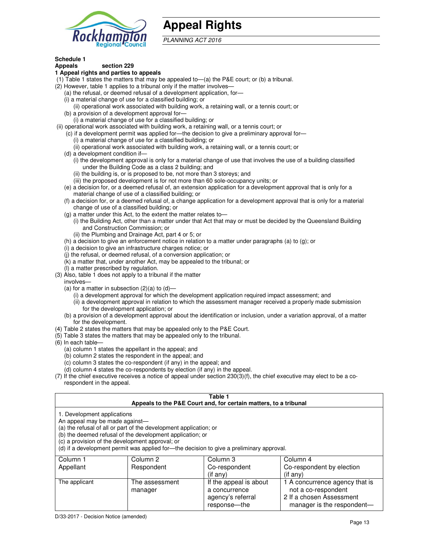

# **Appeal Rights**

PLANNING ACT 2016

# **Schedule 1**

#### **Appeals section 229 1 Appeal rights and parties to appeals**

- (1) Table 1 states the matters that may be appealed to—(a) the P&E court; or (b) a tribunal.
- (2) However, table 1 applies to a tribunal only if the matter involves—
	- (a) the refusal, or deemed refusal of a development application, for—
	- (i) a material change of use for a classified building; or
	- (ii) operational work associated with building work, a retaining wall, or a tennis court; or (b) a provision of a development approval for—
	- (i) a material change of use for a classified building; or
- (ii) operational work associated with building work, a retaining wall, or a tennis court; or
	- (c) if a development permit was applied for—the decision to give a preliminary approval for—
		- (i) a material change of use for a classified building; or
		- (ii) operational work associated with building work, a retaining wall, or a tennis court; or
	- (d) a development condition if—
		- (i) the development approval is only for a material change of use that involves the use of a building classified under the Building Code as a class 2 building; and
		- (ii) the building is, or is proposed to be, not more than 3 storeys; and
		- (iii) the proposed development is for not more than 60 sole-occupancy units; or
	- (e) a decision for, or a deemed refusal of, an extension application for a development approval that is only for a material change of use of a classified building; or
	- (f) a decision for, or a deemed refusal of, a change application for a development approval that is only for a material change of use of a classified building; or
	- (g) a matter under this Act, to the extent the matter relates to—
		- (i) the Building Act, other than a matter under that Act that may or must be decided by the Queensland Building and Construction Commission; or
		- (ii) the Plumbing and Drainage Act, part 4 or 5; or
	- (h) a decision to give an enforcement notice in relation to a matter under paragraphs (a) to (g); or
	- (i) a decision to give an infrastructure charges notice; or
	- (j) the refusal, or deemed refusal, of a conversion application; or
	- (k) a matter that, under another Act, may be appealed to the tribunal; or
	- (l) a matter prescribed by regulation.
- (3) Also, table 1 does not apply to a tribunal if the matter
- involves—
	- (a) for a matter in subsection  $(2)(a)$  to  $(d)$ 
		- (i) a development approval for which the development application required impact assessment; and
		- (ii) a development approval in relation to which the assessment manager received a properly made submission for the development application; or
	- (b) a provision of a development approval about the identification or inclusion, under a variation approval, of a matter for the development.
- (4) Table 2 states the matters that may be appealed only to the P&E Court.
- (5) Table 3 states the matters that may be appealed only to the tribunal.
- (6) In each table—
	- (a) column 1 states the appellant in the appeal; and
	- (b) column 2 states the respondent in the appeal; and
	- (c) column 3 states the co-respondent (if any) in the appeal; and
	- (d) column 4 states the co-respondents by election (if any) in the appeal.
- (7) If the chief executive receives a notice of appeal under section 230(3)(f), the chief executive may elect to be a corespondent in the appeal.

| Table 1<br>Appeals to the P&E Court and, for certain matters, to a tribunal                                                                                                                                                                                                                                                                    |                           |                                                              |                                                                                   |
|------------------------------------------------------------------------------------------------------------------------------------------------------------------------------------------------------------------------------------------------------------------------------------------------------------------------------------------------|---------------------------|--------------------------------------------------------------|-----------------------------------------------------------------------------------|
| 1. Development applications<br>An appeal may be made against-<br>(a) the refusal of all or part of the development application; or<br>(b) the deemed refusal of the development application; or<br>(c) a provision of the development approval; or<br>(d) if a development permit was applied for-the decision to give a preliminary approval. |                           |                                                              |                                                                                   |
| Column 1                                                                                                                                                                                                                                                                                                                                       | Column 2                  | Column 3                                                     | Column 4                                                                          |
| Appellant                                                                                                                                                                                                                                                                                                                                      | Respondent                | Co-respondent<br>$($ if any $)$                              | Co-respondent by election<br>(i f any)                                            |
| The applicant                                                                                                                                                                                                                                                                                                                                  | The assessment<br>manager | If the appeal is about<br>a concurrence<br>agency's referral | 1 A concurrence agency that is<br>not a co-respondent<br>2 If a chosen Assessment |

response—the

manager is the respondent-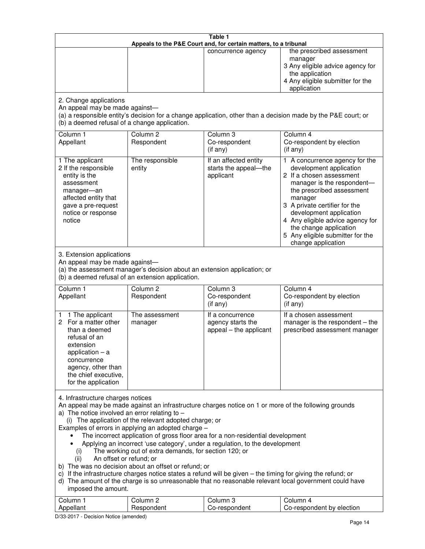| Table 1<br>Appeals to the P&E Court and, for certain matters, to a tribunal                                                                                                                                                                                                                                                                                                                                                                                                                                                                                                                                                                                                                                                                                                                                                                                                                                                                            |                                   |                                                                 |                                                                                                                                                                                                                                                                                                                                                 |
|--------------------------------------------------------------------------------------------------------------------------------------------------------------------------------------------------------------------------------------------------------------------------------------------------------------------------------------------------------------------------------------------------------------------------------------------------------------------------------------------------------------------------------------------------------------------------------------------------------------------------------------------------------------------------------------------------------------------------------------------------------------------------------------------------------------------------------------------------------------------------------------------------------------------------------------------------------|-----------------------------------|-----------------------------------------------------------------|-------------------------------------------------------------------------------------------------------------------------------------------------------------------------------------------------------------------------------------------------------------------------------------------------------------------------------------------------|
|                                                                                                                                                                                                                                                                                                                                                                                                                                                                                                                                                                                                                                                                                                                                                                                                                                                                                                                                                        |                                   | concurrence agency                                              | the prescribed assessment<br>manager<br>3 Any eligible advice agency for<br>the application<br>4 Any eligible submitter for the<br>application                                                                                                                                                                                                  |
| 2. Change applications<br>An appeal may be made against-<br>(b) a deemed refusal of a change application.                                                                                                                                                                                                                                                                                                                                                                                                                                                                                                                                                                                                                                                                                                                                                                                                                                              |                                   |                                                                 | (a) a responsible entity's decision for a change application, other than a decision made by the P&E court; or                                                                                                                                                                                                                                   |
| Column 1<br>Appellant                                                                                                                                                                                                                                                                                                                                                                                                                                                                                                                                                                                                                                                                                                                                                                                                                                                                                                                                  | Column <sub>2</sub><br>Respondent | Column 3<br>Co-respondent<br>(if any)                           | Column 4<br>Co-respondent by election<br>(if any)                                                                                                                                                                                                                                                                                               |
| 1 The applicant<br>2 If the responsible<br>entity is the<br>assessment<br>manager-an<br>affected entity that<br>gave a pre-request<br>notice or response<br>notice                                                                                                                                                                                                                                                                                                                                                                                                                                                                                                                                                                                                                                                                                                                                                                                     | The responsible<br>entity         | If an affected entity<br>starts the appeal-the<br>applicant     | 1 A concurrence agency for the<br>development application<br>2 If a chosen assessment<br>manager is the respondent-<br>the prescribed assessment<br>manager<br>3 A private certifier for the<br>development application<br>4 Any eligible advice agency for<br>the change application<br>5 Any eligible submitter for the<br>change application |
| 3. Extension applications<br>An appeal may be made against-<br>(a) the assessment manager's decision about an extension application; or<br>(b) a deemed refusal of an extension application.                                                                                                                                                                                                                                                                                                                                                                                                                                                                                                                                                                                                                                                                                                                                                           |                                   |                                                                 |                                                                                                                                                                                                                                                                                                                                                 |
| Column 1<br>Appellant                                                                                                                                                                                                                                                                                                                                                                                                                                                                                                                                                                                                                                                                                                                                                                                                                                                                                                                                  | Column <sub>2</sub><br>Respondent | Column 3<br>Co-respondent<br>(if any)                           | Column 4<br>Co-respondent by election<br>(if any)                                                                                                                                                                                                                                                                                               |
| 1 The applicant<br>1<br>For a matter other<br>2.<br>than a deemed<br>refusal of an<br>extension<br>application $-$ a<br>concurrence<br>agency, other than<br>the chief executive,<br>for the application                                                                                                                                                                                                                                                                                                                                                                                                                                                                                                                                                                                                                                                                                                                                               | The assessment<br>manager         | If a concurrence<br>agency starts the<br>appeal - the applicant | If a chosen assessment<br>manager is the respondent - the<br>prescribed assessment manager                                                                                                                                                                                                                                                      |
| 4. Infrastructure charges notices<br>An appeal may be made against an infrastructure charges notice on 1 or more of the following grounds<br>a) The notice involved an error relating to $-$<br>(i) The application of the relevant adopted charge; or<br>Examples of errors in applying an adopted charge -<br>The incorrect application of gross floor area for a non-residential development<br>Applying an incorrect 'use category', under a regulation, to the development<br>The working out of extra demands, for section 120; or<br>(i)<br>An offset or refund; or<br>(ii)<br>b) The was no decision about an offset or refund; or<br>c) If the infrastructure charges notice states a refund will be given - the timing for giving the refund; or<br>d) The amount of the charge is so unreasonable that no reasonable relevant local government could have<br>imposed the amount.<br>Column <sub>2</sub><br>Column 3<br>Column 1<br>Column 4 |                                   |                                                                 |                                                                                                                                                                                                                                                                                                                                                 |
| Appellant                                                                                                                                                                                                                                                                                                                                                                                                                                                                                                                                                                                                                                                                                                                                                                                                                                                                                                                                              | Respondent                        | Co-respondent                                                   | Co-respondent by election                                                                                                                                                                                                                                                                                                                       |

D/33-2017 - Decision Notice (amended)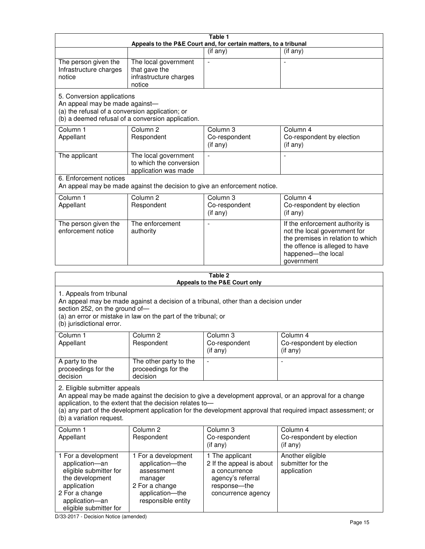| Table 1<br>Appeals to the P&E Court and, for certain matters, to a tribunal                                                                                                                                                                                                                                                                     |                                                                                                                            |                                                                                                                         |                                                                                                                                                                            |
|-------------------------------------------------------------------------------------------------------------------------------------------------------------------------------------------------------------------------------------------------------------------------------------------------------------------------------------------------|----------------------------------------------------------------------------------------------------------------------------|-------------------------------------------------------------------------------------------------------------------------|----------------------------------------------------------------------------------------------------------------------------------------------------------------------------|
|                                                                                                                                                                                                                                                                                                                                                 |                                                                                                                            | (if any)                                                                                                                | (if any)                                                                                                                                                                   |
| The person given the<br>Infrastructure charges<br>notice                                                                                                                                                                                                                                                                                        | The local government<br>that gave the<br>infrastructure charges<br>notice                                                  |                                                                                                                         |                                                                                                                                                                            |
| 5. Conversion applications<br>An appeal may be made against-<br>(a) the refusal of a conversion application; or<br>(b) a deemed refusal of a conversion application.                                                                                                                                                                            |                                                                                                                            |                                                                                                                         |                                                                                                                                                                            |
| Column 1<br>Appellant                                                                                                                                                                                                                                                                                                                           | Column <sub>2</sub><br>Respondent                                                                                          | Column 3<br>Co-respondent<br>(if any)                                                                                   | Column 4<br>Co-respondent by election<br>(if any)                                                                                                                          |
| The applicant                                                                                                                                                                                                                                                                                                                                   | The local government<br>to which the conversion<br>application was made                                                    |                                                                                                                         |                                                                                                                                                                            |
| 6. Enforcement notices                                                                                                                                                                                                                                                                                                                          | An appeal may be made against the decision to give an enforcement notice.                                                  |                                                                                                                         |                                                                                                                                                                            |
| Column 1<br>Appellant                                                                                                                                                                                                                                                                                                                           | Column <sub>2</sub><br>Respondent                                                                                          | Column <sub>3</sub><br>Co-respondent<br>(if any)                                                                        | Column 4<br>Co-respondent by election<br>(if any)                                                                                                                          |
| The person given the<br>enforcement notice                                                                                                                                                                                                                                                                                                      | The enforcement<br>authority                                                                                               |                                                                                                                         | If the enforcement authority is<br>not the local government for<br>the premises in relation to which<br>the offence is alleged to have<br>happened-the local<br>government |
|                                                                                                                                                                                                                                                                                                                                                 |                                                                                                                            | Table 2<br>Appeals to the P&E Court only                                                                                |                                                                                                                                                                            |
| 1. Appeals from tribunal<br>An appeal may be made against a decision of a tribunal, other than a decision under<br>section 252, on the ground of-<br>(a) an error or mistake in law on the part of the tribunal; or<br>(b) jurisdictional error.                                                                                                |                                                                                                                            |                                                                                                                         |                                                                                                                                                                            |
| Column 1<br>Appellant                                                                                                                                                                                                                                                                                                                           | Column 2<br>Respondent                                                                                                     | Column 3<br>Co-respondent<br>(if any)                                                                                   | Column 4<br>Co-respondent by election<br>(i f any)                                                                                                                         |
| A party to the<br>proceedings for the<br>decision                                                                                                                                                                                                                                                                                               | The other party to the<br>proceedings for the<br>decision                                                                  |                                                                                                                         |                                                                                                                                                                            |
| 2. Eligible submitter appeals<br>An appeal may be made against the decision to give a development approval, or an approval for a change<br>application, to the extent that the decision relates to-<br>(a) any part of the development application for the development approval that required impact assessment; or<br>(b) a variation request. |                                                                                                                            |                                                                                                                         |                                                                                                                                                                            |
| Column 1<br>Appellant                                                                                                                                                                                                                                                                                                                           | Column <sub>2</sub><br>Respondent                                                                                          | Column 3<br>Co-respondent<br>(if any)                                                                                   | Column 4<br>Co-respondent by election<br>(if any)                                                                                                                          |
| 1 For a development<br>application-an<br>eligible submitter for<br>the development<br>application<br>2 For a change<br>application-an                                                                                                                                                                                                           | 1 For a development<br>application-the<br>assessment<br>manager<br>2 For a change<br>application-the<br>responsible entity | 1 The applicant<br>2 If the appeal is about<br>a concurrence<br>agency's referral<br>response-the<br>concurrence agency | Another eligible<br>submitter for the<br>application                                                                                                                       |

D/33-2017 - Decision Notice (amended)

eligible submitter for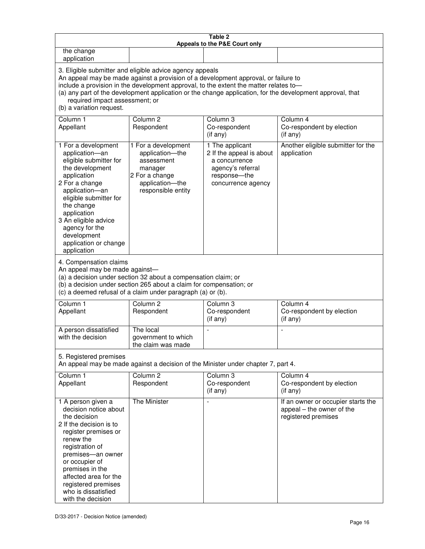| Table 2<br>Appeals to the P&E Court only                                                                                                                                                                                                                                                                                                                                                                           |                                                                                                                            |                                                                                                                         |                                                                                        |
|--------------------------------------------------------------------------------------------------------------------------------------------------------------------------------------------------------------------------------------------------------------------------------------------------------------------------------------------------------------------------------------------------------------------|----------------------------------------------------------------------------------------------------------------------------|-------------------------------------------------------------------------------------------------------------------------|----------------------------------------------------------------------------------------|
| the change<br>application                                                                                                                                                                                                                                                                                                                                                                                          |                                                                                                                            |                                                                                                                         |                                                                                        |
| 3. Eligible submitter and eligible advice agency appeals<br>An appeal may be made against a provision of a development approval, or failure to<br>include a provision in the development approval, to the extent the matter relates to-<br>(a) any part of the development application or the change application, for the development approval, that<br>required impact assessment; or<br>(b) a variation request. |                                                                                                                            |                                                                                                                         |                                                                                        |
| Column 1<br>Appellant                                                                                                                                                                                                                                                                                                                                                                                              | Column <sub>2</sub><br>Respondent                                                                                          | Column 3<br>Co-respondent<br>(if any)                                                                                   | Column 4<br>Co-respondent by election<br>(if any)                                      |
| 1 For a development<br>application-an<br>eligible submitter for<br>the development<br>application<br>2 For a change<br>application-an<br>eligible submitter for<br>the change<br>application<br>3 An eligible advice<br>agency for the<br>development<br>application or change<br>application                                                                                                                      | 1 For a development<br>application-the<br>assessment<br>manager<br>2 For a change<br>application-the<br>responsible entity | 1 The applicant<br>2 If the appeal is about<br>a concurrence<br>agency's referral<br>response-the<br>concurrence agency | Another eligible submitter for the<br>application                                      |
| 4. Compensation claims<br>An appeal may be made against-<br>(a) a decision under section 32 about a compensation claim; or<br>(b) a decision under section 265 about a claim for compensation; or<br>(c) a deemed refusal of a claim under paragraph (a) or (b).                                                                                                                                                   |                                                                                                                            |                                                                                                                         |                                                                                        |
| Column <sub>1</sub><br>Appellant                                                                                                                                                                                                                                                                                                                                                                                   | Column <sub>2</sub><br>Respondent                                                                                          | Column 3<br>Co-respondent<br>(if any)                                                                                   | Column 4<br>Co-respondent by election<br>(if any)                                      |
| A person dissatisfied<br>with the decision                                                                                                                                                                                                                                                                                                                                                                         | The local<br>government to which<br>the claim was made                                                                     | ÷,                                                                                                                      | $\overline{a}$                                                                         |
| 5. Registered premises<br>An appeal may be made against a decision of the Minister under chapter 7, part 4.                                                                                                                                                                                                                                                                                                        |                                                                                                                            |                                                                                                                         |                                                                                        |
| Column <sub>1</sub><br>Appellant                                                                                                                                                                                                                                                                                                                                                                                   | Column <sub>2</sub><br>Respondent                                                                                          | Column <sub>3</sub><br>Co-respondent<br>(if any)                                                                        | Column 4<br>Co-respondent by election<br>(if any)                                      |
| 1 A person given a<br>decision notice about<br>the decision<br>2 If the decision is to<br>register premises or<br>renew the<br>registration of<br>premises-an owner<br>or occupier of<br>premises in the<br>affected area for the<br>registered premises<br>who is dissatisfied<br>with the decision                                                                                                               | <b>The Minister</b>                                                                                                        |                                                                                                                         | If an owner or occupier starts the<br>appeal - the owner of the<br>registered premises |